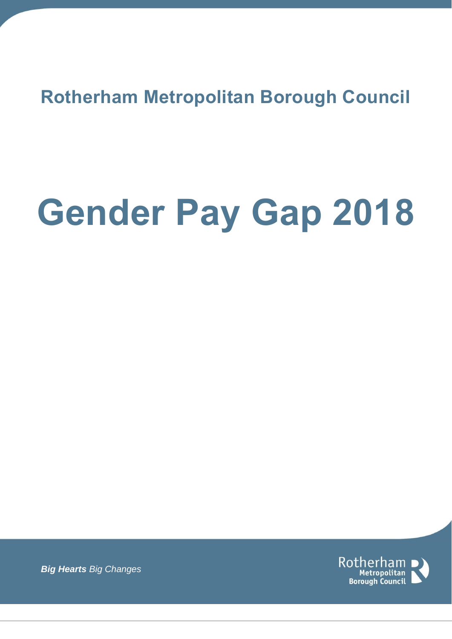**Rotherham Metropolitan Borough Council**

# **Gender Pay Gap 2018**



*Big Hearts Big Changes*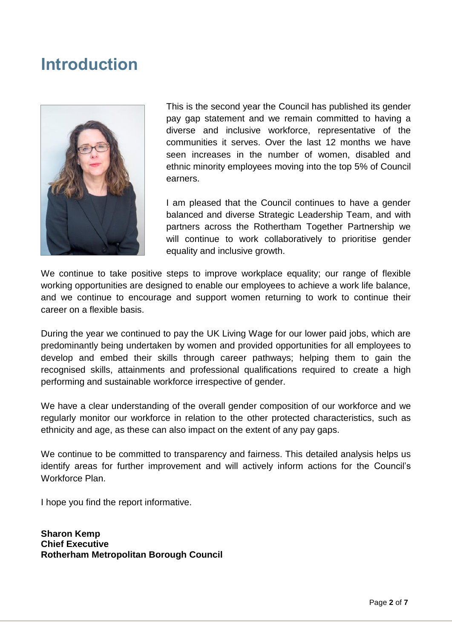#### **Introduction**



This is the second year the Council has published its gender pay gap statement and we remain committed to having a diverse and inclusive workforce, representative of the communities it serves. Over the last 12 months we have seen increases in the number of women, disabled and ethnic minority employees moving into the top 5% of Council earners.

I am pleased that the Council continues to have a gender balanced and diverse Strategic Leadership Team, and with partners across the Rothertham Together Partnership we will continue to work collaboratively to prioritise gender equality and inclusive growth.

We continue to take positive steps to improve workplace equality; our range of flexible working opportunities are designed to enable our employees to achieve a work life balance, and we continue to encourage and support women returning to work to continue their career on a flexible basis.

During the year we continued to pay the UK Living Wage for our lower paid jobs, which are predominantly being undertaken by women and provided opportunities for all employees to develop and embed their skills through career pathways; helping them to gain the recognised skills, attainments and professional qualifications required to create a high performing and sustainable workforce irrespective of gender.

We have a clear understanding of the overall gender composition of our workforce and we regularly monitor our workforce in relation to the other protected characteristics, such as ethnicity and age, as these can also impact on the extent of any pay gaps.

We continue to be committed to transparency and fairness. This detailed analysis helps us identify areas for further improvement and will actively inform actions for the Council's Workforce Plan.

I hope you find the report informative.

**Sharon Kemp Chief Executive Rotherham Metropolitan Borough Council**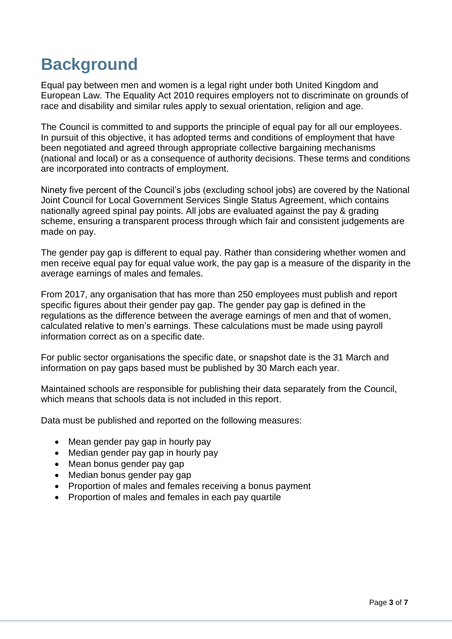## **Background**

Equal pay between men and women is a legal right under both United Kingdom and European Law. The Equality Act 2010 requires employers not to discriminate on grounds of race and disability and similar rules apply to sexual orientation, religion and age.

The Council is committed to and supports the principle of equal pay for all our employees. In pursuit of this objective, it has adopted terms and conditions of employment that have been negotiated and agreed through appropriate collective bargaining mechanisms (national and local) or as a consequence of authority decisions. These terms and conditions are incorporated into contracts of employment.

Ninety five percent of the Council's jobs (excluding school jobs) are covered by the National Joint Council for Local Government Services Single Status Agreement, which contains nationally agreed spinal pay points. All jobs are evaluated against the pay & grading scheme, ensuring a transparent process through which fair and consistent judgements are made on pay.

The gender pay gap is different to equal pay. Rather than considering whether women and men receive equal pay for equal value work, the pay gap is a measure of the disparity in the average earnings of males and females.

From 2017, any organisation that has more than 250 employees must publish and report specific figures about their gender pay gap. The gender pay gap is defined in the regulations as the difference between the average earnings of men and that of women, calculated relative to men's earnings. These calculations must be made using payroll information correct as on a specific date.

For public sector organisations the specific date, or snapshot date is the 31 March and information on pay gaps based must be published by 30 March each year.

Maintained schools are responsible for publishing their data separately from the Council, which means that schools data is not included in this report.

Data must be published and reported on the following measures:

- Mean gender pay gap in hourly pay
- Median gender pay gap in hourly pay
- Mean bonus gender pay gap
- Median bonus gender pay gap
- Proportion of males and females receiving a bonus payment
- Proportion of males and females in each pay quartile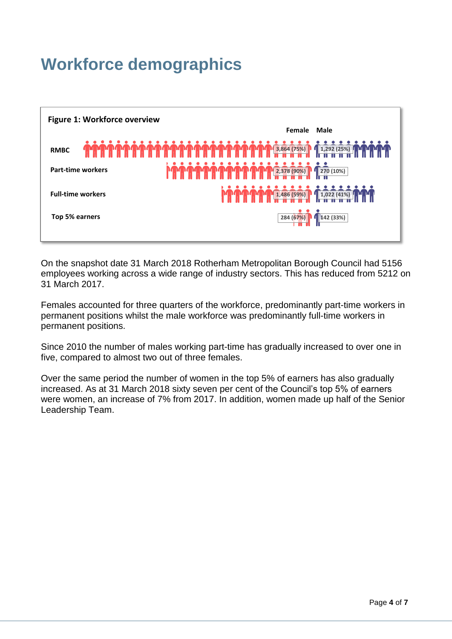## **Workforce demographics**



On the snapshot date 31 March 2018 Rotherham Metropolitan Borough Council had 5156 employees working across a wide range of industry sectors. This has reduced from 5212 on 31 March 2017.

Females accounted for three quarters of the workforce, predominantly part-time workers in permanent positions whilst the male workforce was predominantly full-time workers in permanent positions.

Since 2010 the number of males working part-time has gradually increased to over one in five, compared to almost two out of three females.

Over the same period the number of women in the top 5% of earners has also gradually increased. As at 31 March 2018 sixty seven per cent of the Council's top 5% of earners were women, an increase of 7% from 2017. In addition, women made up half of the Senior Leadership Team.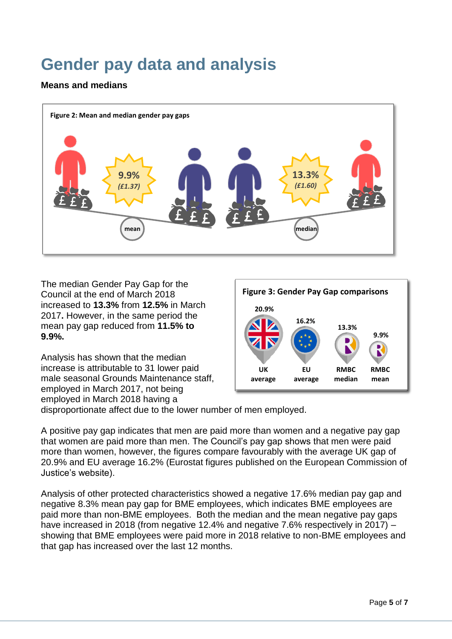## **Gender pay data and analysis**

#### **Means and medians**



The median Gender Pay Gap for the Council at the end of March 2018 increased to **13.3%** from **12.5%** in March 2017**.** However, in the same period the mean pay gap reduced from **11.5% to 9.9%.** 

Analysis has shown that the median increase is attributable to 31 lower paid male seasonal Grounds Maintenance staff, employed in March 2017, not being employed in March 2018 having a



disproportionate affect due to the lower number of men employed.

A positive pay gap indicates that men are paid more than women and a negative pay gap that women are paid more than men. The Council's pay gap shows that men were paid more than women, however, the figures compare favourably with the average UK gap of 20.9% and EU average 16.2% (Eurostat figures published on the European Commission of Justice's website).

Analysis of other protected characteristics showed a negative 17.6% median pay gap and negative 8.3% mean pay gap for BME employees, which indicates BME employees are paid more than non-BME employees. Both the median and the mean negative pay gaps have increased in 2018 (from negative 12.4% and negative 7.6% respectively in 2017) – showing that BME employees were paid more in 2018 relative to non-BME employees and that gap has increased over the last 12 months.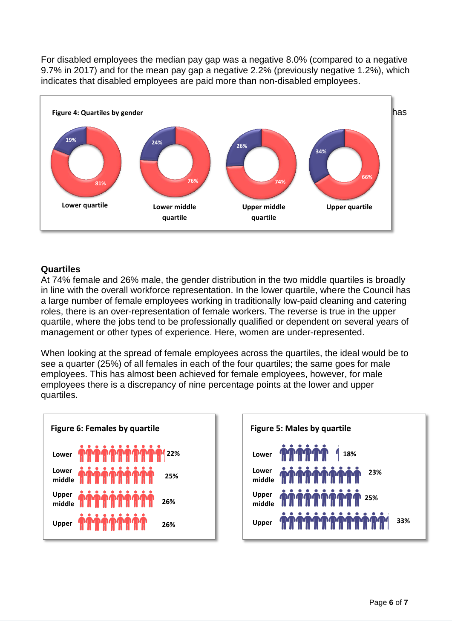For disabled employees the median pay gap was a negative 8.0% (compared to a negative 9.7% in 2017) and for the mean pay gap a negative 2.2% (previously negative 1.2%), which indicates that disabled employees are paid more than non-disabled employees.



#### **Quartiles**

At 74% female and 26% male, the gender distribution in the two middle quartiles is broadly in line with the overall workforce representation. In the lower quartile, where the Council has a large number of female employees working in traditionally low-paid cleaning and catering roles, there is an over-representation of female workers. The reverse is true in the upper quartile, where the jobs tend to be professionally qualified or dependent on several years of management or other types of experience. Here, women are under-represented.

When looking at the spread of female employees across the quartiles, the ideal would be to see a quarter (25%) of all females in each of the four quartiles; the same goes for male employees. This has almost been achieved for female employees, however, for male employees there is a discrepancy of nine percentage points at the lower and upper quartiles.